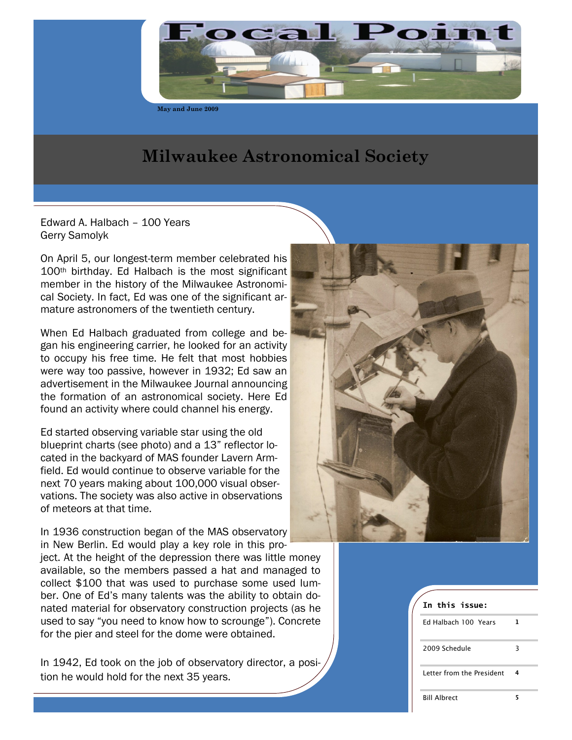

**May and June 2009**

# **Milwaukee Astronomical Society**

Edward A. Halbach – 100 Years Gerry Samolyk

On April 5, our longest-term member celebrated his 100th birthday. Ed Halbach is the most significant member in the history of the Milwaukee Astronomical Society. In fact, Ed was one of the significant armature astronomers of the twentieth century.

When Ed Halbach graduated from college and began his engineering carrier, he looked for an activity to occupy his free time. He felt that most hobbies were way too passive, however in 1932; Ed saw an advertisement in the Milwaukee Journal announcing the formation of an astronomical society. Here Ed found an activity where could channel his energy.

Ed started observing variable star using the old blueprint charts (see photo) and a 13" reflector located in the backyard of MAS founder Lavern Armfield. Ed would continue to observe variable for the next 70 years making about 100,000 visual observations. The society was also active in observations of meteors at that time.

In 1936 construction began of the MAS observatory in New Berlin. Ed would play a key role in this project. At the height of the depression there was little money available, so the members passed a hat and managed to collect \$100 that was used to purchase some used lumber. One of Ed"s many talents was the ability to obtain donated material for observatory construction projects (as he used to say "you need to know how to scrounge"). Concrete for the pier and steel for the dome were obtained.

In 1942, Ed took on the job of observatory director, a position he would hold for the next 35 years.



| In this issue:            |   |  |
|---------------------------|---|--|
| Ed Halbach 100 Years      | L |  |
| 2009 Schedule             | 3 |  |
| Letter from the President | 4 |  |
| <b>Bill Albrect</b>       |   |  |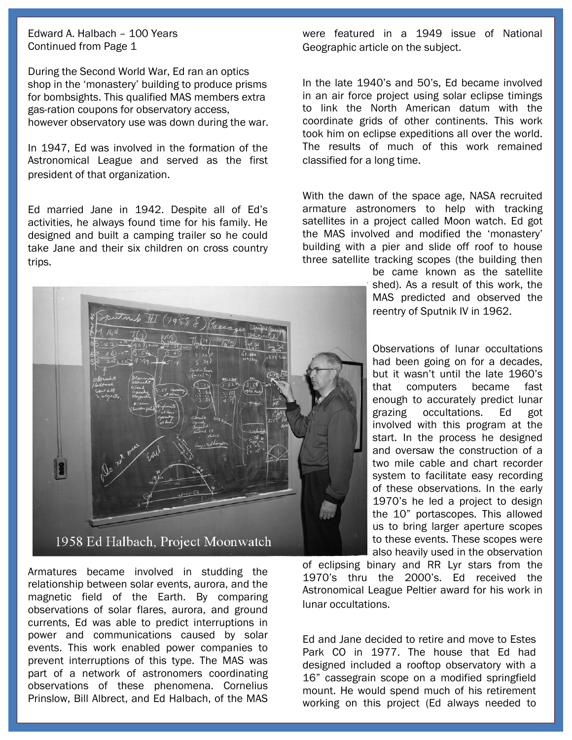Edward A. Halbach – 100 Years Continued from Page 1

During the Second World War, Ed ran an optics shop in the "monastery" building to produce prisms for bombsights. This qualified MAS members extra gas-ration coupons for observatory access, however observatory use was down during the war.

In 1947, Ed was involved in the formation of the Astronomical League and served as the first president of that organization.

Ed married Jane in 1942. Despite all of Ed"s activities, he always found time for his family. He designed and built a camping trailer so he could take Jane and their six children on cross country trips.

were featured in a 1949 issue of National Geographic article on the subject.

In the late 1940"s and 50"s, Ed became involved in an air force project using solar eclipse timings to link the North American datum with the coordinate grids of other continents. This work took him on eclipse expeditions all over the world. The results of much of this work remained classified for a long time.

With the dawn of the space age, NASA recruited armature astronomers to help with tracking satellites in a project called Moon watch. Ed got the MAS involved and modified the "monastery" building with a pier and slide off roof to house three satellite tracking scopes (the building then

> be came known as the satellite shed). As a result of this work, the MAS predicted and observed the reentry of Sputnik IV in 1962.

> Observations of lunar occultations had been going on for a decades, but it wasn"t until the late 1960"s that computers became fast enough to accurately predict lunar grazing occultations. Ed got involved with this program at the start. In the process he designed and oversaw the construction of a two mile cable and chart recorder system to facilitate easy recording of these observations. In the early 1970"s he led a project to design the 10" portascopes. This allowed us to bring larger aperture scopes to these events. These scopes were also heavily used in the observation

of eclipsing binary and RR Lyr stars from the 1970"s thru the 2000"s. Ed received the Astronomical League Peltier award for his work in lunar occultations.

Ed and Jane decided to retire and move to Estes Park CO in 1977. The house that Ed had designed included a rooftop observatory with a 16" cassegrain scope on a modified springfield mount. He would spend much of his retirement working on this project (Ed always needed to



Armatures became involved in studding the relationship between solar events, aurora, and the magnetic field of the Earth. By comparing observations of solar flares, aurora, and ground currents, Ed was able to predict interruptions in power and communications caused by solar events. This work enabled power companies to prevent interruptions of this type. The MAS was part of a network of astronomers coordinating observations of these phenomena. Cornelius Prinslow, Bill Albrect, and Ed Halbach, of the MAS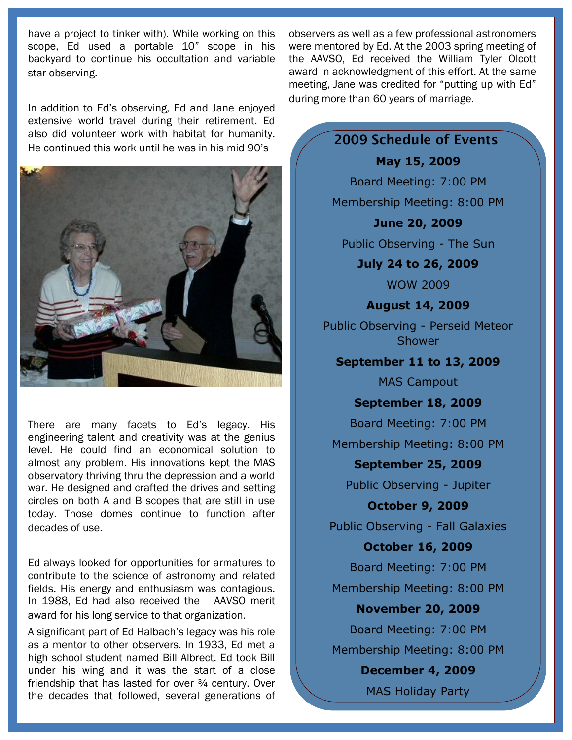have a project to tinker with). While working on this scope, Ed used a portable 10" scope in his backyard to continue his occultation and variable star observing.

In addition to Ed"s observing, Ed and Jane enjoyed extensive world travel during their retirement. Ed also did volunteer work with habitat for humanity. He continued this work until he was in his mid 90"s



There are many facets to Ed"s legacy. His engineering talent and creativity was at the genius level. He could find an economical solution to almost any problem. His innovations kept the MAS observatory thriving thru the depression and a world war. He designed and crafted the drives and setting circles on both A and B scopes that are still in use today. Those domes continue to function after decades of use.

Ed always looked for opportunities for armatures to contribute to the science of astronomy and related fields. His energy and enthusiasm was contagious. In 1988, Ed had also received the AAVSO merit award for his long service to that organization.

A significant part of Ed Halbach"s legacy was his role as a mentor to other observers. In 1933, Ed met a high school student named Bill Albrect. Ed took Bill under his wing and it was the start of a close friendship that has lasted for over  $\frac{3}{4}$  century. Over the decades that followed, several generations of

observers as well as a few professional astronomers were mentored by Ed. At the 2003 spring meeting of the AAVSO, Ed received the William Tyler Olcott award in acknowledgment of this effort. At the same meeting, Jane was credited for "putting up with Ed" during more than 60 years of marriage.

> **2009 Schedule of Events May 15, 2009** Board Meeting: 7:00 PM Membership Meeting: 8:00 PM **June 20, 2009** Public Observing - The Sun **July 24 to 26, 2009** WOW 2009 **August 14, 2009** Public Observing - Perseid Meteor Shower **September 11 to 13, 2009** MAS Campout **September 18, 2009** Board Meeting: 7:00 PM Membership Meeting: 8:00 PM **September 25, 2009** Public Observing - Jupiter **October 9, 2009** Public Observing - Fall Galaxies **October 16, 2009** Board Meeting: 7:00 PM Membership Meeting: 8:00 PM **November 20, 2009** Board Meeting: 7:00 PM Membership Meeting: 8:00 PM **December 4, 2009** MAS Holiday Party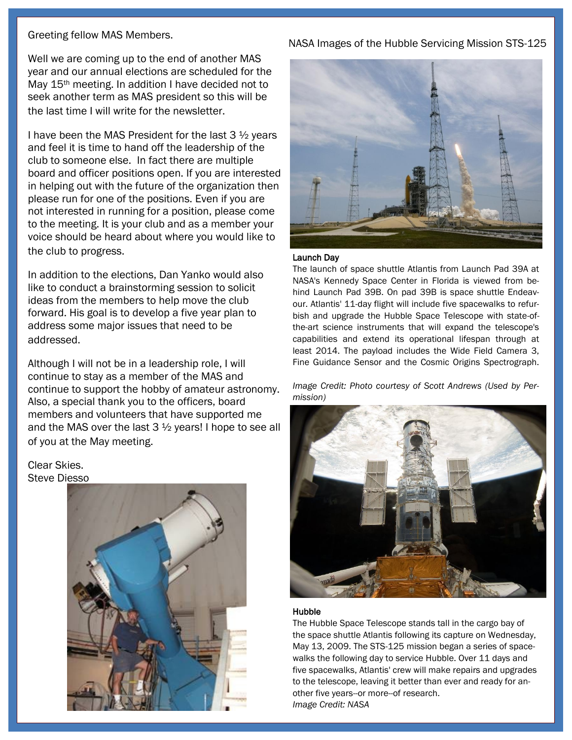### Greeting fellow MAS Members.

Well we are coming up to the end of another MAS year and our annual elections are scheduled for the May 15<sup>th</sup> meeting. In addition I have decided not to seek another term as MAS president so this will be the last time I will write for the newsletter.

I have been the MAS President for the last 3 ½ years and feel it is time to hand off the leadership of the club to someone else. In fact there are multiple board and officer positions open. If you are interested in helping out with the future of the organization then please run for one of the positions. Even if you are not interested in running for a position, please come to the meeting. It is your club and as a member your voice should be heard about where you would like to the club to progress.

In addition to the elections, Dan Yanko would also like to conduct a brainstorming session to solicit ideas from the members to help move the club forward. His goal is to develop a five year plan to address some major issues that need to be addressed.

Although I will not be in a leadership role, I will continue to stay as a member of the MAS and continue to support the hobby of amateur astronomy. Also, a special thank you to the officers, board members and volunteers that have supported me and the MAS over the last 3 ½ years! I hope to see all of you at the May meeting.

### Clear Skies. Steve Diesso



# NASA Images of the Hubble Servicing Mission STS-125



### Launch Day

The launch of space shuttle Atlantis from Launch Pad 39A at NASA's Kennedy Space Center in Florida is viewed from behind Launch Pad 39B. On pad 39B is space shuttle Endeavour. Atlantis' 11-day flight will include five spacewalks to refurbish and upgrade the Hubble Space Telescope with state-ofthe-art science instruments that will expand the telescope's capabilities and extend its operational lifespan through at least 2014. The payload includes the Wide Field Camera 3, Fine Guidance Sensor and the Cosmic Origins Spectrograph.

*Image Credit: Photo courtesy of Scott Andrews (Used by Permission)*



#### Hubble

The Hubble Space Telescope stands tall in the cargo bay of the space shuttle Atlantis following its capture on Wednesday, May 13, 2009. The STS-125 mission began a series of spacewalks the following day to service Hubble. Over 11 days and five spacewalks, Atlantis' crew will make repairs and upgrades to the telescope, leaving it better than ever and ready for another five years--or more--of research. *Image Credit: NASA*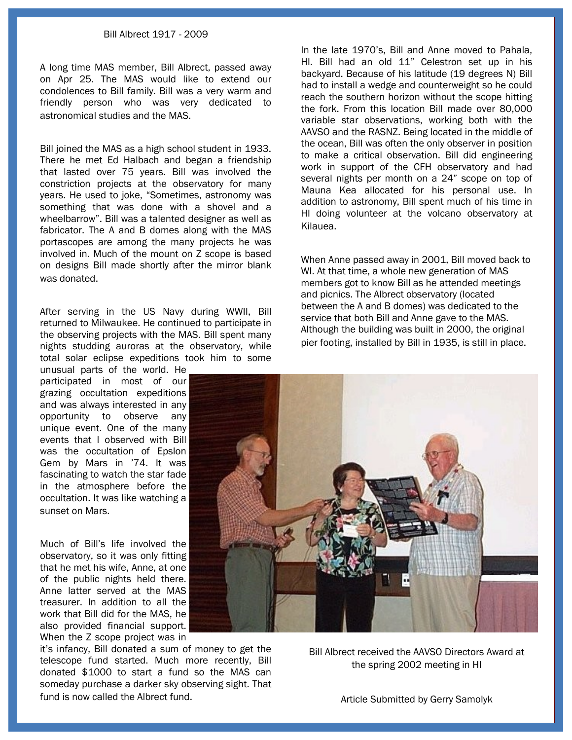#### Bill Albrect 1917 - 2009

A long time MAS member, Bill Albrect, passed away on Apr 25. The MAS would like to extend our condolences to Bill family. Bill was a very warm and friendly person who was very dedicated to astronomical studies and the MAS.

Bill joined the MAS as a high school student in 1933. There he met Ed Halbach and began a friendship that lasted over 75 years. Bill was involved the constriction projects at the observatory for many years. He used to joke, "Sometimes, astronomy was something that was done with a shovel and a wheelbarrow". Bill was a talented designer as well as fabricator. The A and B domes along with the MAS portascopes are among the many projects he was involved in. Much of the mount on Z scope is based on designs Bill made shortly after the mirror blank was donated.

After serving in the US Navy during WWII, Bill returned to Milwaukee. He continued to participate in the observing projects with the MAS. Bill spent many nights studding auroras at the observatory, while total solar eclipse expeditions took him to some unusual parts of the world. He

participated in most of our grazing occultation expeditions and was always interested in any opportunity to observe any unique event. One of the many events that I observed with Bill was the occultation of Epslon Gem by Mars in "74. It was fascinating to watch the star fade in the atmosphere before the occultation. It was like watching a sunset on Mars.

Much of Bill"s life involved the observatory, so it was only fitting that he met his wife, Anne, at one of the public nights held there. Anne latter served at the MAS treasurer. In addition to all the work that Bill did for the MAS, he also provided financial support. When the Z scope project was in

it"s infancy, Bill donated a sum of money to get the telescope fund started. Much more recently, Bill donated \$1000 to start a fund so the MAS can someday purchase a darker sky observing sight. That fund is now called the Albrect fund.

In the late 1970"s, Bill and Anne moved to Pahala, HI. Bill had an old 11" Celestron set up in his backyard. Because of his latitude (19 degrees N) Bill had to install a wedge and counterweight so he could reach the southern horizon without the scope hitting the fork. From this location Bill made over 80,000 variable star observations, working both with the AAVSO and the RASNZ. Being located in the middle of the ocean, Bill was often the only observer in position to make a critical observation. Bill did engineering work in support of the CFH observatory and had several nights per month on a 24" scope on top of Mauna Kea allocated for his personal use. In addition to astronomy, Bill spent much of his time in HI doing volunteer at the volcano observatory at Kilauea.

When Anne passed away in 2001, Bill moved back to WI. At that time, a whole new generation of MAS members got to know Bill as he attended meetings and picnics. The Albrect observatory (located between the A and B domes) was dedicated to the service that both Bill and Anne gave to the MAS. Although the building was built in 2000, the original pier footing, installed by Bill in 1935, is still in place.



Bill Albrect received the AAVSO Directors Award at the spring 2002 meeting in HI

Article Submitted by Gerry Samolyk